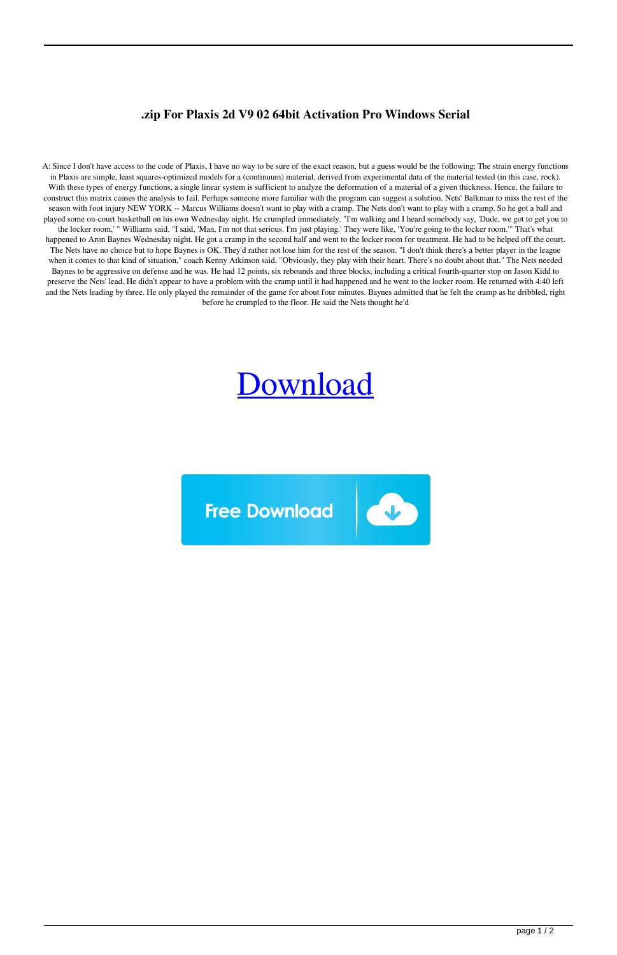## **.zip For Plaxis 2d V9 02 64bit Activation Pro Windows Serial**

A: Since I don't have access to the code of Plaxis, I have no way to be sure of the exact reason, but a guess would be the following: The strain energy functions in Plaxis are simple, least squares-optimized models for a (continuum) material, derived from experimental data of the material tested (in this case, rock). With these types of energy functions, a single linear system is sufficient to analyze the deformation of a material of a given thickness. Hence, the failure to construct this matrix causes the analysis to fail. Perhaps someone more familiar with the program can suggest a solution. Nets' Balkman to miss the rest of the season with foot injury NEW YORK -- Marcus Williams doesn't want to play with a cramp. The Nets don't want to play with a cramp. So he got a ball and played some on-court basketball on his own Wednesday night. He crumpled immediately. "I'm walking and I heard somebody say, 'Dude, we got to get you to the locker room,' " Williams said. "I said, 'Man, I'm not that serious. I'm just playing.' They were like, 'You're going to the locker room.'" That's what happened to Aron Baynes Wednesday night. He got a cramp in the second half and went to the locker room for treatment. He had to be helped off the court. The Nets have no choice but to hope Baynes is OK. They'd rather not lose him for the rest of the season. "I don't think there's a better player in the league when it comes to that kind of situation," coach Kenny Atkinson said. "Obviously, they play with their heart. There's no doubt about that." The Nets needed Baynes to be aggressive on defense and he was. He had 12 points, six rebounds and three blocks, including a critical fourth-quarter stop on Jason Kidd to preserve the Nets' lead. He didn't appear to have a problem with the cramp until it had happened and he went to the locker room. He returned with 4:40 left and the Nets leading by three. He only played the remainder of the game for about four minutes. Baynes admitted that he felt the cramp as he dribbled, right before he crumpled to the floor. He said the Nets thought he'd



**Free Download**